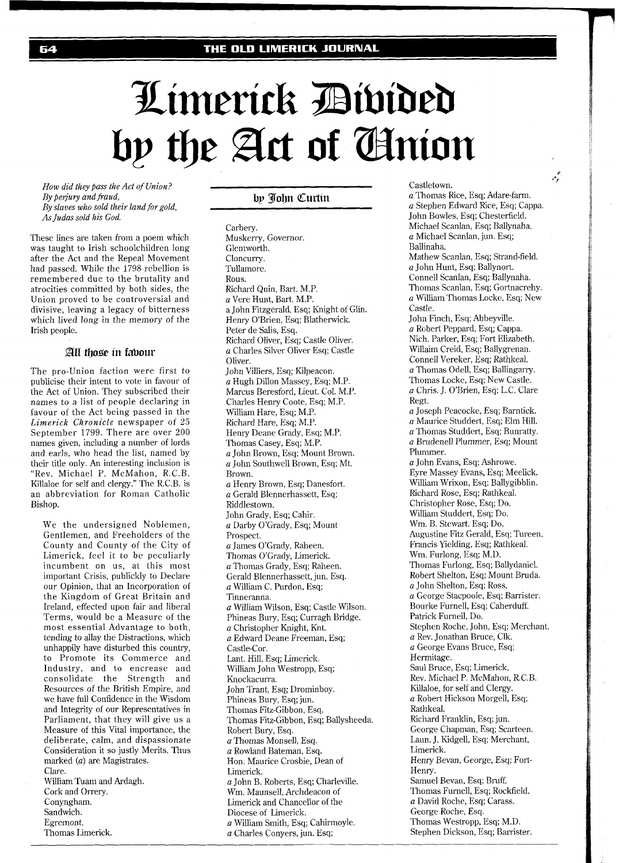# Limerick Divided by the Act of Anion

*How did they pass the Act of Union? By perjury and fiaud, By slaves who sold their land forgold, As Judas sold his God.* 

These lines are taken from a poem which was taught to Irish schoolchildren long after the Act and the Repeal Movement had passed. While the 1798 rebellion is remembered due to the brutality and atrocities committed by both sides, the Union proved to be controversial and divisive, leaving a legacy of bitterness which lived long in the memory of the Irish people.

#### All those in fabour

The pro-Union faction were first to publicise their intent to vote in favour of the Act of Union. They subscribed their names to a list of people declaring in favour of the Act being passed in the *Limerick Chronicle* newspaper of *25*  September 1799. There are over 200 names given, including a number of lords and earls, who head the list, named by their title only. An interesting inclusion is "Rev. Michael P. McMahon, R.C.B. Killaloe for self and clergy." The R.C.B. is an abbreviation for Roman Catholic Bishop.

We the undersigned Noblemen, Gentlemen, and Freeholders of the County and County of the City of Limerick, feel it to be peculiarly incumbent on us, at this most important Crisis, publickly to Declare our Opinion, that an Incorporation of the Kingdom of Great Britain and Ireland, effected upon fair and liberal Terms, would be a Measure of the most essential Advantage to both, tending to allay the Distractions, which unhappily have disturbed this country, to Promote its Commerce and ndustry, and to encrease and consolidate the Strength and Resources of the British Empire, and we have full Confidence in the Wisdom and Integrity of our Representatives in Parliament, that they will give us a Measure of this Vital importance, the deliberate, calm, and dispassionate Consideration it so justly Merits. Thus marked (a) are Magistrates. Clare. William Tuam and Ardagh. Cork and Orrery. Conyngham.

Sandwich. Egremont. Thomas Limerick.

# by John Curtin

Carbery. Muskerry, Governor. Glentworth. Cloncurry. Tullamore. Rous. Richard Quin, Bart. M.P. *a* Vere Hunt, Bart. M.P. a John Fitzgerald, Esq; Knight of Glin. Henry O'Brien, Esq; Blatherwick. Peter de Salis, Esq. Richard Oliver, Esq; Castle Oliver. a Charles Silver Oliver Esq; Castle Oliver. John Villiers, Esq; Kilpeacon. a Hugh Dillon Massey, Esq; M.P. Marcus Beresford, Lieut. Col. M.P. Charles Henry Coote, Esq; M.P. William Hare, Esq; M.P. Richard Hare, Esq; M.P. Henry Deane Grady, Esq; M.P. Thomas Casey, Esq; M.P. a John Brown, Esq; Mount Brown. a John Southwell Brown, Esq; Mt. Brown. a Henry Brown, Esq; Danesfort. a Gerald Blennerhassett, Esq; Riddlestown. John Grady, Esq; Cahir. a Darby O'Grady, Esq; Mount Prospect. a James O'Grady, Raheen. Thomas O'Grady, Limerick. *a* Thomas Grady, Esq; Raheen. Gerald Blennerhassett, jun. Esq. *a* William C. Purdon, Esq; Tinneranna. *a* William Wilson, Esq; Castle Wilson. Phineas Bury, Esq; Curragh Bridge. a Christopher Knight, Knt. a Edward Deane Freeman, Esq; Castle-Cor. Lant. Hill, Esq; Limerick. William John Westropp, Esq; Knockacurra. John Trant, Esq; Drominboy. Phineas Bury, Esq; jun. Thomas Fitz-Gibbon, Esq. Thomas Fitz-Gibbon, Esq; Ballysheeda. Robert Bury, Esq. *a* Thomas Monsell, Esq. a Rowland Bateman, Esq. Hon. Maurice Crosbie, Dean of Limerick. a John B. Roberts, Esq; Charleville. Wm. Maunsell, Archdeacon of Limerick and Chancellor of the Diocese of Limerick. *a* William Smith, Esq; Cahirmoyle. *a* Charles Conyers, jun. Esq;

Castletown.

a Thomas Rice, Esq; Adare-farm. *a* Stephen Edward Rice, Esq; Cappa. John Bowles, Esq; Chesterfield. Michael Scanlan, Esq; Ballynaha. a Michael Scanlan, jun. Esq; Ballinaha. Mathew Scanlan, Esq; Strand-field. *a* John Hunt, Esq; Ballynort. Connell Scanlan, Esq; Ballynaha. Thomas Scanlan, Esq; Gortnacrehy. *a* William Thomas Locke, Esq; New Castle.

م.<br>م

John Finch, Esq; Abbeyville. *a* Robert Peppard, Esq; Cappa. Nich. Parker, Esq; Fort Elizabeth. Willaim Creid, Esq; Ballygrenan. Connell Vereker, Esq; Rathkeal. *a* Thomas Odell, Esq; Ballingarry. Thomas Locke, Esq; New Castle. *a* Chris. J. O'Brien, Esq; L.C. Clare Regt. a Joseph Peacocke, Esq; Barntick.

a Maurice Studdert, Esq; Elm Hill. a Thomas Studdert, Esq; Bunratty. *a* Brudenell Plummer, Esq; Mount Plummer.

*a* John Evans, Esq; Ashrowe. Eyre Massey Evans, Esq; Meelick. William Wrixon, Esq; Ballygibblin. Richard Rose, Esq; Rathkeal. Christopher Rose, Esq; Do. William Studdert, Esq; Do. Wm. B. Stewart. Esq; Do. Augustine Fitz Gerald, Esq; Tureen. Francis Yielding, Esq; Rathkeal. Wm. Furlong, Esq; M.D. Thomas Furlong, Esq; Ballydaniel. Robert Shelton, Esq; Mount Bruda. a John Shelton, Esq; Ross. a George Stacpoole, Esq; Barrister. Bourke Furnell, Esq; Caherduff. Patrick Furnell, Do. Stephen Roche, John, Esq; Merchant. *a* Rev. Jonathan Bruce, Clk. a George Evans Bruce, Esq; Hermitage. Saul Bruce, Esq; Limerick. Rev. Michael P. McMahon, R.C.B. Killaloe, for self and Clergy. a Robert Hickson Morgell, Esq; Rathkeal. Richard Franklin, Esq; jun. George Chapman, Esq; Scarteen. Laun. J. Kidgell, Esq; Merchant, Limerick. Henry Bevan, George, Esq; Fort-Henry. Samuel Bevan, Esq; Bruff. Thomas Furnell, Esq; Rockfield. *a* David Roche, Esq; Carass. George Roche, Esq. Thomas Westropp, Esq; M.D. Stephen Dickson, Esq; Barrister.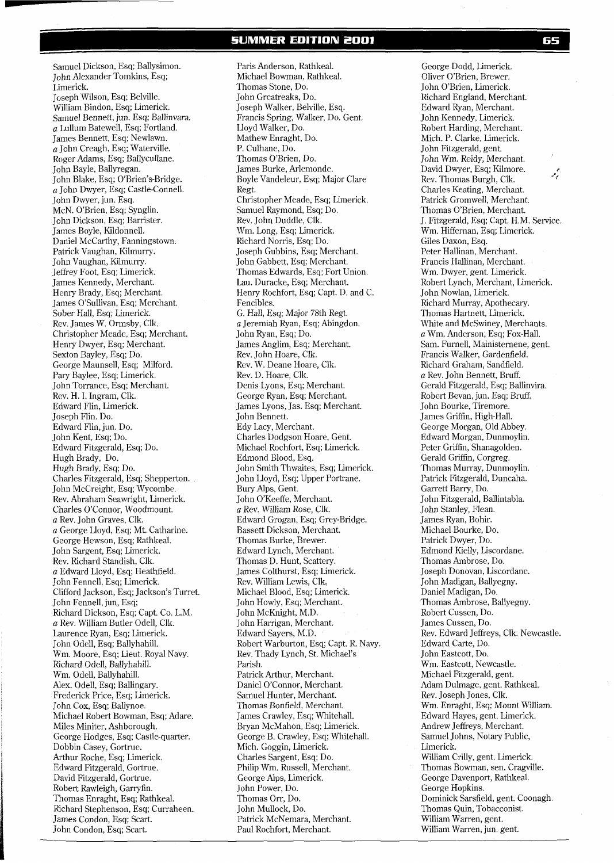Samuel Dickson, Esq; Ballysimon. John Alexander Tomkins, Esq; Limerick. Joseph Wilson, Esq; Belville. William Bindon, Esq; Limerick. Samuel Bennett, jun. Esq; Ballinvara. a Lullum Batewell, Esq; Fortland. James Bennett, Esq; Newlawn. a John Creagh, Esq; Waterville. Roger Adams, Esq; Ballycullane. John Bayle, Ballyregan. John Blake, Esq; O'Brien's-Bridge. a John Dwyer, Esq; Castle-Connell. John Dwyer, jun. Esq. McN. O'Brien, Esq; Synglin. John Dickson, Esq; Barrister. James Boyle, Kildonnell. Daniel McCarthy, Fanningstown. Patrick Vaughan, Kilmurry. John Vaughan, Kilmurry. Jeffrey Foot, Esq; Limerick. James Kennedy, Merchant. Henry Brady, Esq; Merchant. James O'Sullivan, Esq; Merchant. Sober Hall, Esq; Limerick. Rev. James W. Ormsby, Clk. Christopher Meade, Esq; Merchant. Henry Dwyer, Esq; Merchant. Sexton Bayley, Esq; Do. George Maunsell, Esq; Milford. Pary Baylee, Esq; Limerick. John Torrance, Esq; Merchant. Rev. H. I. Ingram, Clk. Edward Flin, Limerick. Joseph Flin. Do. Edward Flin, jun. Do. John Kent, Esq; Do. Edward Fitzgerald, Esq; Do. Hugh Brady, Do. Hugh Brady, Esq; Do. Charles Fitzgerald, Esq; Shepperton. John McCreight, Esq; Wycombe. Rev. Abraham Seawright, Limerick. Charles O'Connor, Woodmount. a Rev. John Graves, Clk. a George Lloyd, Esq; Mt. Catharine. George Hewson, Esq; Rathkeal. John Sargent, Esq; Limerick. Rev. Richard Standish, Clk. a Edward Lloyd, Esq; Heathfield. John Fennell, Esq; Limerick. Clifford Jackson, Esq; Jackson's Turret. John Fennell, jun, Esq; Richard Dickson, Esq; Capt. Co. L.M. a Rev. William Butler Odell, Clk. Laurence Ryan, Esq; Limerick. John Odell, Esq; Ballyhahill. Wm. Moore, Esq; Lieut. Royal Navy. Richard Odell, Ballyhahill. Wm. Odell, Ballyhahill. Alex. Odell, Esq; Ballingary. Frederick Price, Esq; Limerick. John Cox, Esq; Ballynoe. Michael Robert Bowman, Esq; Adare. Miles Miniter, Ashborough. George Hodges, Esq; Castle-quarter. Dobbin Casey, Gortrue. Arthur Roche, Esq; Limerick. Edward Fitzgerald, Gortrue. David Fitzgerald, Gortrue. Robert Rawleigh, Garryfin. Thomas Enraght, Esq; Rathkeal. Richard Stephenson, Esq; Curraheen. James Condon, Esq; Scart. John Condon, Esq; Scart.

Paris Anderson, Rathkeal. Michael Bowman, Rathkeal. Thomas Stone, Do. John Greatreaks, Do. Joseph Walker, Belville, Esq. Francis Spring, Walker, Do. Gent. Lloyd Walker, Do. Mathew Enraght, Do. P. Culhane, Do. Thonias O'Brien, Do. James Burke, Arlemonde. Boyle Vandeleur, Esq; Major Clare Regt. Christopher Meade, Esq; Limerick. Samuel Raymond, Esq; Do. Rev. John Duddle, Clk. Wm. Long, Esq; Limerick. Richard Norris, Esq; Do. Joseph Gubbins, Esq; Merchant. John Gabbeti, Esq; Merchant. Thomas Edwards, Esq; Fort Union. Lau. Duracke, Esq; Merchant. Henry Rochfort, Esq; Capt. D. and C. Fencibles. G. Hall, Esq; Major 78th Regt. a Jeremiah Ryan, Esq; Abingdon. John Ryan, Esq; Do. James Anglim, Esq; Merchant. Rev. John Hoare, Clk. Rev. W. Deane Hoare, Clk. Rev. D. Hoare, Clk. Denis Lyons, Esq; Merchant. George Ryan, Esq; Merchant. James Lyons, Jas. Esq; Merchant. John Bennett. Edy Lacy, Merchant. Charles Dodgson Hoare, Gent. Michael Rochfort, Esq; Limerick. Edmond Blood, Esq. John Smith Thwaites, Esq; Limerick. John Lloyd, Esq; Upper Portrane. Bury Alps, Gent. John O'Keeffe, Merchant. a Rev. William Rose, Clk. Edward Grogan, Esq; Grey-Bridge. Bassett Dickson, Merchant. Thomas Burke, Brewer. Edward Lynch, Merchant. Thomas D. Hunt, Scatiery. James Colthurst, Esq; Limerick. Rev. William Lewis, Clk. Michael Blood, Esq; Limerick. John Howly, Esq; Merchant. John McKnight, M.D. John Harrigan, Merchant. Edward Sayers, M.D. Robert Warburton, Esq; Capt. R. Navy Rev. Thady Lynch, St. Michael's Parish. Patrick Arthur, Merchant. Daniel O'Connor, Merchant. Samuel Hunter, Merchant. Thomas Bonfield, Merchant. James Crawley, Esq; Whitehall. Bryan McMahon, Esq; Limerick. George B. Crawley, Esq; Whitehall. Mich. Goggin, Limerick. Charles Sargent, Esq; Do. Philip Wm. Russell, Merchant. George Alps, Limerick. John Power, Do. Thomas Orr, Do. John Mullock, Do. Patrick McNemara, Merchant. Paul Rochfort, Merchant.

George Dodd, Limerick. Oliver O'Brien, Brewer. John O'Brien, Limerick. Richard England, Merchant. Edward Ryan, Merchant. John Kennedy, Limerick. Robert Harding, Merchant. Mich. P. Clarke, Limerick. John Fitzgerald, gent. John Wm. Reidy, Merchant. David Dwyer, Esq; Kilmore. Rev. Thomas Burgh, Clk. Charles Keating, Merchant. Patrick Gromwell, Merchant. Thomas O'Brien, Merchant. J. Fitzgerald, Esq; Capt. H.M. Service. Wm. Hiffernan, Esq; Limerick. Giles Daxon, Esq. Peter Hallinan, Merchant. Francis Hallinan, Merchant. Wm. Dwyer, gent. Limerick. Robert Lynch, Merchant, Limerick. John Nowlan, Limerick. Richard Murray, Apothecary. Thomas Hartnett, Limerick. White and McSwiney, Merchants. a Wm. Anderson, Esq; Fox-Hall. Sam. Furnell, Mainisternene, gent. Francis Walker, Gardenfield. Richard Graham, Sandfield. a Rev. John Bennett, Bruff. Gerald Fitzgerald, Esq; Ballinvira. Robert Bevan, jun. Esq; Bruff. John Bourke, Tiremore. James Griffin, High-Hall. George Morgan, Old Abbey. Edward Morgan, Dunmoylin. Peter Griffin, Shanagolden. Gerald Griffin, Corgreg. Thomas Murray, Dunmoylin. Patrick Fitzgerald, Duncaha. Garrett Barry, Do. John Fitzgerald, Ballintabla. John Stanley, Flean. James Ryan, Bohir. Michael Bourke, Do. Patrick Dwyer, Do. Edmond Kielly, Liscordane. Thomas Ambrose, Do. Joseph Donovan, Liscordane. John Madigan, Ballyegny. Daniel Madigan, Do. Thomas Ambrose, Ballyegny. Robert Cussen, Do. James Cussen, Do. Rev. Edward Jeffreys, Clk. Newcastle. Edward Carte, Do. John Eastcott, Do. Wm. Eastcott, Newcastle. Michael Fitzgerald, gent. Adam Dulmage, gent. Rathkeal. Rev. Joseph Jones, Clk. Wm. Enraght, Esq; Mount William. Edward Hayes, gent. Limerick. Andrew Jeffreys, Merchant. Samuel Johns, Notary Public, Limerick. William Crilly, gent. Limerick. Thomas Bowman, sen. Cragville. George Davenport, Rathkeal. George Hopkins. Dominick Sarsfield, gent. Coonagh. Thomas Quin, Tobacconist. William Warren, gent. William Warren, jun. gent.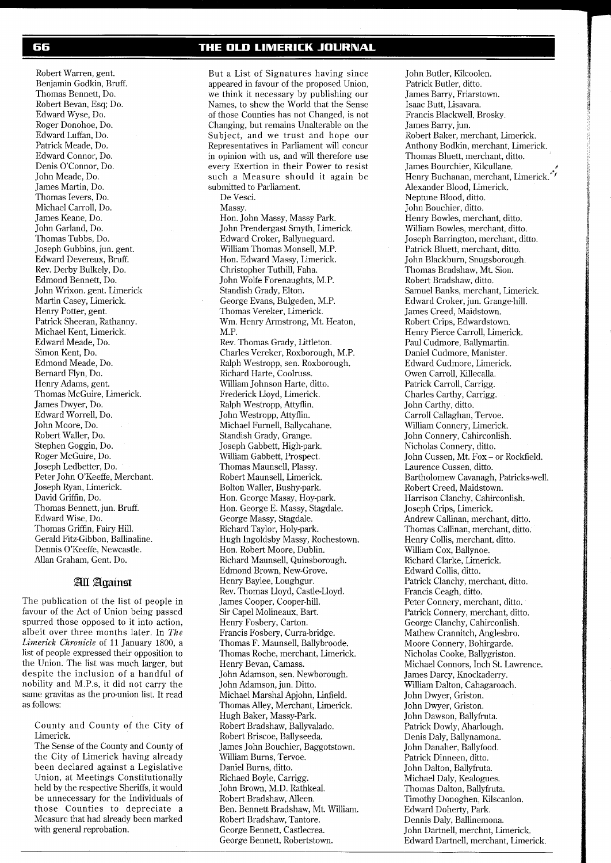Robert Warren, gent. Benjamin Godkin, Bruff. Thomas Bennett, Do. Robert Bevan, Esq; Do. Edward Wyse, Do. Roger Donohoe, Do. Edward Luffan, Do. Patrick Meade, Do. Edward Connor, Do. Denis O'Connor, Do. John Meade, Do. James Martin, Do. Thomas Ievers, Do. Michael Carroll, Do. James Keane, Do. John Garland, Do. Thomas Tubbs, Do. Joseph Gubbins, jun. gent. Edward Devereux, Bruff. Rev. Derby Bulkely, Do. Edmond Bennett, Do. John Wrixon. gent. Limerick Martin Casey, Limerick. Henry Potter, gent. Patrick Sheeran, Rathanny. Michael Kent, Limerick. Edward Meade, Do. Simon Kent, Do. Edmond Meade, Do. Bernard Flyn, Do. Henry Adams, gent. Thomas McGuire, Limerick. James Dwyer, Do. Edward Worrell, Do. John Moore, Do. Robert Waller, Do. Stephen Goggin, Do. Roger McGuire, Do. Joseph Ledbetter, Do. Peter John O'Keeffe, Merchant. Joseph Ryan, Limerick. David Griffin, Do. Thomas Bennett, jun. Bruff. Edward Wise, Do. Thomas Griffin, Fairy Hill. Gerald Fitz-Gibbon, Ballinaline. Dennis O'Keeffe, Newcastle. Allan Graham, Gent. Do.

## All Against

The publication of the list of people in favour of the Act of Union being passed spurred those opposed to it into action, albeit over three months later. In *The Limerick Chronicle* of 11 January 1800, a list of people expressed their opposition to the Union. The list was much larger, but despite the inclusion of a handful of nobility and M.P.s, it did not carry the same gravitas as the pro-union list. It read as follows:

County and County of the City of Limerick.

The Sense of the County and County of the City of Limerick having already been declared against a Legislative Union, at Meetings Constitutionally held by the respective Sheriffs, it would be unnecessary for the Individuals of those Counties to depreciate a Measure that had already been marked with general reprobation.

## THE OLD LIMERICK JOURNAL

But a List of Signatures having since appeared in favour of the proposed Union, we think it necessary by publishing our Names, to shew the World that the Sense of those Counties has not Changed, is not Changing, but remains Unalterable on the Subject, and we trust and hope our Representatives in Parliament will concur in opinion with us, and will therefore use every Exertion in their Power to resist such a Measure should it again be submitted to Parliament. De Vesci. Massy. Hon. John Massy, Massy Park. John Prendergast Smyth, Limerick. Edward Croker, Ballyneguard. William Thomas Monsell, M.P. Hon. Edward Massy, Limerick. Christopher Tuthill, Faha. John Wolfe Forenaughts, M.P. Standish Grady, Elton. George Evans, Bulgeden, M.P. Thomas Vereker, Limerick. Wm. Henry Armstrong, Mt. Heaton, M.P. Rev. Thomas Grady, Littleton. Charles Vereker, Roxborough, M.P. Ralph Westropp, Sen. Roxborough. Richard Harte, Coolruss. William Johnson Harte, ditto. Frederick Lloyd, Limerick. Ralph Westropp, Attyflin. John Westropp, Attyflin. Michael Furnell, Ballycahane. Standish Grady, Grange. Joseph Gabbett, High-park. William Gabbett, Prospect. Thomas Maunsell, Plassy. Robert Maunsell, Limerick. Bolton Waller, Bushy-park. Hon. George Massy, Hoy-park. Hon. George E. Massy, Stagdale. George Massy, Stagdale. Richard Taylor, Holy-park. Hugh Ingoldsby Massy, Rochestown. Hon. Robert Moore, Dublin. Richard Maunsell, Quinsborough. Edmond Brown, New-Grove. Henry Baylee, Loughgur. Rev. Thomas Lloyd, Castle-Lloyd. James Cooper, Cooper-hill. Sir Cape1 Molineaux, Bart. Henry Fosbery, Carton. Francis Fosbery, Curra-bridge. Thomas F. Maunsell, Ballybroode. Thomas Roche, merchant, Limerick. Henry Bevan, Camass. John Adamson, sen. Newborough. John Adamson, jun. Ditto. Michael Marshal Apjohn, Linfield. Thomas Alley, Merchant, Limerick. Hugh Baker, Massy-Park. Robert Bradshaw, Ballyvalado. Robert Briscoe, Ballyseeda. James John Bouchier, Baggotstown. William Burns, Tervoe. Daniel Burns, ditto. Richaed Boyle, Carrigg. John Brown, M.D. Rathkeal. Robert Bradshaw, Alleen. Ben. Bennett Bradshaw, Mt. William. Robert Bradshaw, Tantore. George Bennett, Castlecrea. George Bennett, Robertstown.

John Butler, Kilcoolen. Patrick Butler, ditto. James Barry, Friarstown. Isaac Butt, Lisavara. Francis Blackwell, Brosky. James Barry, jun. Robert Baker, merchant, Limerick. Anthony Bodkin, merchant, Limerick. Thomas Bluett, merchant, ditto. James Bourchier, Kilcullane. **<sup>P</sup>** Henry Buchanan, merchant, Limerick.<sup>\*</sup> Alexander Blood, Limerick. Neptune Blood, ditto. John Bouchier, ditto. Henry Bowles, merchant, ditto. William Bowles, merchant, ditto. Joseph Barrington, merchant, ditto. Patrick Bluett, merchant, ditto. John Blackburn, Snugsborough. Thomas Bradshaw, Mt. Sion. Robert Bradshaw, ditto. Samuel Banks, merchant, Limerick. Edward Croker, jun. Grange-hill. James Creed, Maidstown. Robert Crips, Edwardstown. Henry Pierce Carroll, Limerick. Paul Cudmore, Ballymartin. Daniel Cudmore, Manister. Edward Cudmore, Limerick. Owen Carroll, Killecalla. Patrick Carroll, Carrigg. Charles Carthy, Carrigg. John Carthy, ditto. Carroll Callaghan, Tervoe. William Connery, Limerick. John Connery, Cahirconlish. Nicholas Connery, ditto. John Cussen, Mt. Fox - or Rockfield. Laurence Cussen, ditto. Bartholomew Cavanagh, Patricks-well. Robert Creed, Maidstown. Harrison Clanchy, Cahirconlish. Joseph Crips, Limerick. Andrew Callinan, merchant, ditto. Thomas Callinan, merchant, ditto. Henry Collis, merchant, ditto. William Cox, Ballynoe. Richard Clarke, Limerick. Edward Collis, ditto. Patrick Clanchy, merchant, ditto. Francis Ceagh, ditto. Peter Connery, merchant, ditto. Patrick Connery, merchant, ditto. George Clanchy, Cahirconlish. Mathew Crannitch, Anglesbro. Moore Connery, Bohirgarde. Nicholas Cooke, Ballygriston. Michael Connors, Inch St. Lawrence. James Darcy, Knockaderry. William Dalton, Cahagaroach. John Dwyer, Griston. John Dwyer, Griston. John Dawson, Ballyfruta. Patrick Dowly, Aharlough. Denis Daly, Ballynamona. John Danaher, Ballyfood. Patrick Dinneen, ditto. John Dalton, Ballyfruta. Michael Daly, Kealogues. Thomas Dalton, Ballyfruta. Timothy Donoghen, Kilscanlon. Edward Doherty, Park. Dennis Daly, Ballinemona. John Dartnell, merchnt, Limerick. Edward Dartnell, merchant, Limerick.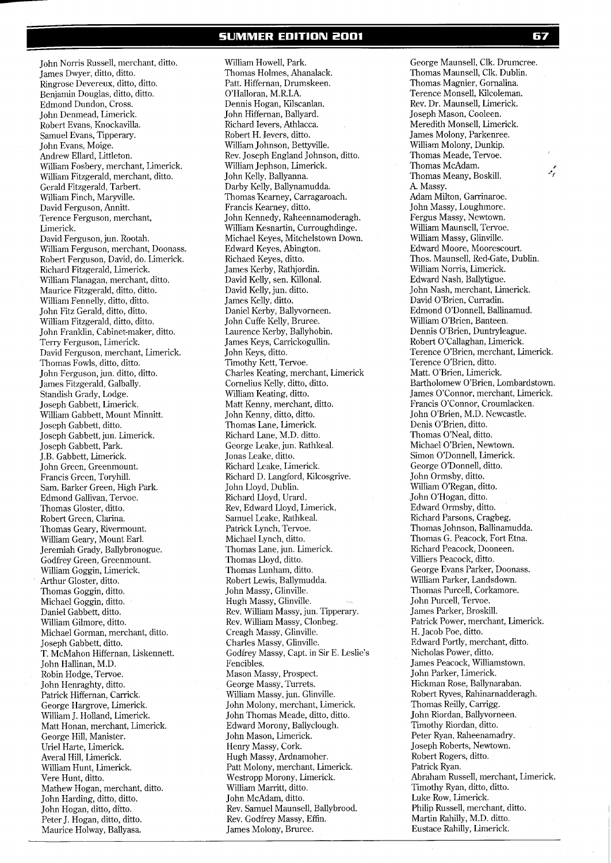**SUMMER EDITION 2001** 

John Norris Russell, merchant, ditto. James Dwyer, ditto, ditto. Ringrose Devereux, ditto, ditto. Benjamin Douglas, ditto, ditto. Edmond Dundon, Cross. John Denmead, Limerick. Robert Evans, Knockavilla. Samuel Evans, Tipperary. John Evans, Moige. Andrew Ellard, Littleton. William Fosbery, merchant, Limerick. William Fitzgerald, merchant, ditto. Gerald Fitzgerald, Tarbert. William Finch, Maryville. David Ferguson, Annitt. Terence Ferguson, merchant, Limerick. David Ferguson, jun. Rootah. William Ferguson, merchant, Doonass. Robert Ferguson, David, do. Limerick. Richard Fitzgerald, Limerick. William Flanagan, merchant, ditto. Maurice Fitzgerald, ditto, ditto. William Fennelly, ditto, ditto. John Fitz Gerald, ditto, ditto. William Fitzgerald, ditto, ditto. John Franklin, Cabinet-maker, ditto. Terry Ferguson, Limerick. David Ferguson, merchant, Limerick. Thomas Fowls, ditto, ditto. John Ferguson, jun. ditto, ditto. James Fitzgerald, Galbally. Standish Grady, Lodge. Joseph Gabbett, Limerick. William Gabbett, Mount Minnitt. Joseph Gabbett, ditto. Joseph Gabbett, jun. Limerick. Joseph Gabbett, Park. J.B. Gabbett, Limerick. John Green, Greenmount. Francis Green, Toryhill. Sam. Barker Green, High Park. Edmond Gallivan, Tervoe. Thomas Gloster, ditto. Robert Green, Clarina. Thomas Geary, Rivermount. William Geary, Mount Earl. Jeremiah Grady, Ballybronogue. Godfrey Green, Greenmount. William Goggin, Limerick. Arthur Gloster, ditto. Thomas Goggin, ditto. Michael Goggin, ditto. Daniel Gabbett, ditto. William Gilmore, ditto. Michael Gorman, merchant, ditto. Joseph Gabbett, ditto. T. McMahon Hiffernan, Liskennett. John Hallinan, M.D. Robin Hodge, Tervoe. John Henraghty, ditto. Patrick Hiffernan, Carrick. George Hargrove, Limerick. William J. Holland, Limerick. Matt Honan, merchant, Limerick. George Hill, Manister. Uriel Harte, Limerick. Averal Hill, Limerick. William Hunt, Limerick. Vere Hunt, ditto. Mathew Hogan, merchant, ditto. John Harding, ditto, ditto. John Hogan, ditto, ditto. Peter J. Hogan, ditto, ditto.

Maurice Holway, Ballyasa.

William Howell, Park. Thomas Holmes, Ahanalack. Patt. Hiffernan, Drumskeen. O'Halloran, M.R.I.A. Dennis Hogan, Kilscanlan. John Hiffernan, Ballyard. Richard Ievers, Athlacca. Robert H. levers, ditto. William Johnson, Bettyville. Rev. Joseph England Johnson, ditto. William Jephson, Limerick. John Kelly, Ballyanna. Darby Kelly, Ballynamudda. Thomas Kearney, Carragaroach. Francis Kearney, ditto. John Kennedy, Raheennamoderagh. William Kesnartin, Curroughdinge. Michael Keyes, Mitchelstown Down. Edward Keyes, Abington. Richaed Keyes, ditto. James Kerby, Rathjordin. David Kelly, sen. Killonal. David Kelly, jun. ditto. James Kelly, ditto. Daniel Kerby, Ballyvorneen. John Cuffe Kelly, Bruree. Laurence Kerby, Ballyhobin. James Keys, Carrickogullin. John Keys, ditto. Timothy Kett, Tervoe. Charles Keating, merchant, Limerick Cornelius Kelly, ditto, ditto. William Keating, ditto. Matt Kenny, merchant, ditto. John Kenny, ditto, ditto. Thomas Lane, Limerick. Richard Lane, M.D. ditto. George Leake, jun. Rathkeal. Jonas Leake, ditto. Richard Leake, Limerick. Richard D. Langford, Kilcosgrive. John Lloyd, Dublin. Richard Lloyd, Urard. Rev, Edward Lloyd, Limerick. Samuel Leake, Rathkeal. Patrick Lynch, Tervoe. Michael Lynch, ditto. Thomas Lane, jun. Limerick. Thomas Lloyd, ditto. Thomas Lunham, ditto. Robert Lewis, Ballymudda. John Massy, Glinville. Hugh Massy, Glinville. Rev. William Massy, jun. Tipperary. Rev. William Massy, Clonbeg. Creagh Massy, Glinville. Charles Massy, Glinville. Godfrey Massy, Capt. in Sir E. Leslie's Fencibles. Mason Massy, Prospect. George Massy, Turrets. William Massy, jun. Glinville. John Molony, merchant, Limerick. John Thomas Meade, ditto, ditto. Edward Morony, Ballyclough. John Mason, Limerick. Henry Massy, Cork. Hugh Massy, Ardnamoher. Patt Molony, merchant, Limerick. Westropp Morony, Limerick. William Marritt, ditto. John McAdam, ditto. Rev. Samuel Maunsell, Ballybrood. Rev. Godfrey Massy, Effin. James Molony, Bruree.

George Maunsell, Clk. Drumcree. Thomas Maunsell, Clk. Dublin. Thomas Magnier, Gornalina. Terence Monsell, Kilcoleman. Rev. Dr. Maunsell, Limerick. Joseph Mason, Cooleen. Meredith Monsell, Limerick. James Molony, Parkenree. William Molony, Dunkip. Thomas Meade, Tervoe. Thomas McAdam.<br>Thomas Meany Roskill **1986** Thomas Meany, Boskill. A. Massy. Adam Milton, Garrinaroe. John Massy, Loughmore. Fergus Massy, Newtown. William Maunsell, Tervoe. William Massy, Glinville. Edward Moore, Moorescourt. Thos. Maunsell, Red-Gate, Dublin. William Norris, Limerick. Edward Nash, Ballytigue. John Nash, merchant, Limerick. David O'Brien, Curradin. Edmond O'Donnell, Ballinamud. William O'Brien, Banteen. Dennis O'Brien, Duntryleague. Robert O'Callaghan, Limerick. Terence O'Brien, merchant, Limerick. Terence O'Brien, ditto. Matt. O'Brien, Limerick. Bartholomew O'Brien, Lombardstown. James O'Connor, merchant, Limerick. Francis O'Connor, Croumlacken. John O'Brien, M.D. Newcastle. Denis O'Brien, ditto. Thomas O'Neal, ditto. Michael O'Brien, Newtown. Simon O'Donnell, Limerick. George O'Donnell, ditto. John Ormsby, ditto. William O'Regan, ditto. John O'Hogan, ditto. Edward Ormsby, ditto. Richard Parsons, Cragbeg. Thomas Johnson, Ballinamudda. Thomas G. Peacock, Fort Etna. Richard Peacock, Dooneen. Villiers Peacock, ditto. George Evans Parker, Doonass. William Parker, Landsdown. Thomas Purcell, Corkamore. John Purcell, Tervoe. James Parker, Broskill. Patrick Power, merchant, Limerick. H. Jacob Poe, ditto. Edward Portly, merchant, ditto. Nicholas Power, ditto. James Peacock, Williamstown. John Parker, Limerick. Hickman Rose, Ballynaraban. Robert Ryves, Rahinarnadderagh. Thomas Reilly, Carrigg. John Riordan, Ballyvorneen. Timothy Riordan, ditto. Peter Ryan, Raheenamadry. Joseph Roberts, Newtown. Robert Rogers, ditto. Patrick Ryan. Abraham Russell, merchant, Limerick. Timothy Ryan, ditto, ditto. Luke Row, Limerick. Philip Russell, merchant, ditto. Martin Rahilly, M.D. ditto. Eustace Rahilly, Limerick.